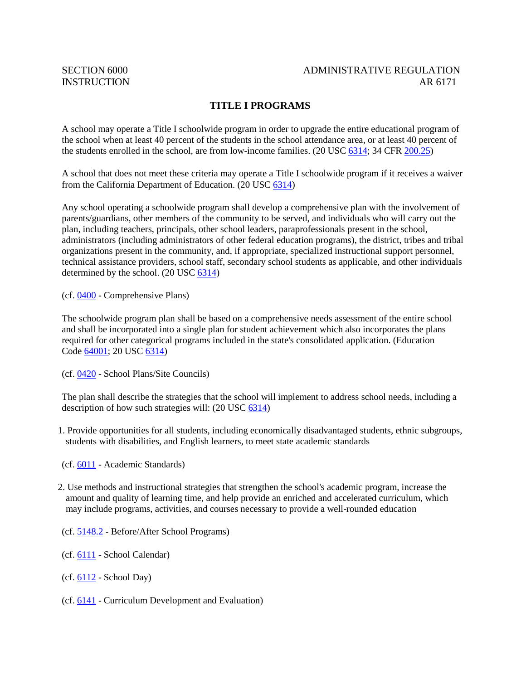## SECTION 6000 ADMINISTRATIVE REGULATION INSTRUCTION AR 6171

# **TITLE I PROGRAMS**

A school may operate a Title I schoolwide program in order to upgrade the entire educational program of the school when at least 40 percent of the students in the school attendance area, or at least 40 percent of the students enrolled in the school, are from low-income families. (20 USC [6314;](http://gamutonline.net/displayPolicy/302980/6) 34 CFR [200.25\)](http://gamutonline.net/displayPolicy/191195/6)

A school that does not meet these criteria may operate a Title I schoolwide program if it receives a waiver from the California Department of Education. (20 USC [6314\)](http://gamutonline.net/displayPolicy/302980/6)

Any school operating a schoolwide program shall develop a comprehensive plan with the involvement of parents/guardians, other members of the community to be served, and individuals who will carry out the plan, including teachers, principals, other school leaders, paraprofessionals present in the school, administrators (including administrators of other federal education programs), the district, tribes and tribal organizations present in the community, and, if appropriate, specialized instructional support personnel, technical assistance providers, school staff, secondary school students as applicable, and other individuals determined by the school. (20 USC [6314\)](http://gamutonline.net/displayPolicy/302980/6)

(cf. [0400](http://gamutonline.net/displayPolicy/171518/6) - Comprehensive Plans)

The schoolwide program plan shall be based on a comprehensive needs assessment of the entire school and shall be incorporated into a single plan for student achievement which also incorporates the plans required for other categorical programs included in the state's consolidated application. (Education Code [64001;](http://gamutonline.net/displayPolicy/133933/6) 20 USC [6314\)](http://gamutonline.net/displayPolicy/302980/6)

(cf. [0420](http://gamutonline.net/displayPolicy/1002197/6) - School Plans/Site Councils)

The plan shall describe the strategies that the school will implement to address school needs, including a description of how such strategies will: (20 USC [6314\)](http://gamutonline.net/displayPolicy/302980/6)

- 1. Provide opportunities for all students, including economically disadvantaged students, ethnic subgroups, students with disabilities, and English learners, to meet state academic standards
- (cf. [6011](http://gamutonline.net/displayPolicy/211099/6) Academic Standards)
- 2. Use methods and instructional strategies that strengthen the school's academic program, increase the amount and quality of learning time, and help provide an enriched and accelerated curriculum, which may include programs, activities, and courses necessary to provide a well-rounded education
- (cf. [5148.2](http://gamutonline.net/displayPolicy/1002212/6) Before/After School Programs)
- (cf. [6111](http://gamutonline.net/displayPolicy/315744/6) School Calendar)
- (cf. [6112](http://gamutonline.net/displayPolicy/288775/6) School Day)
- (cf. [6141](http://gamutonline.net/displayPolicy/170968/6) Curriculum Development and Evaluation)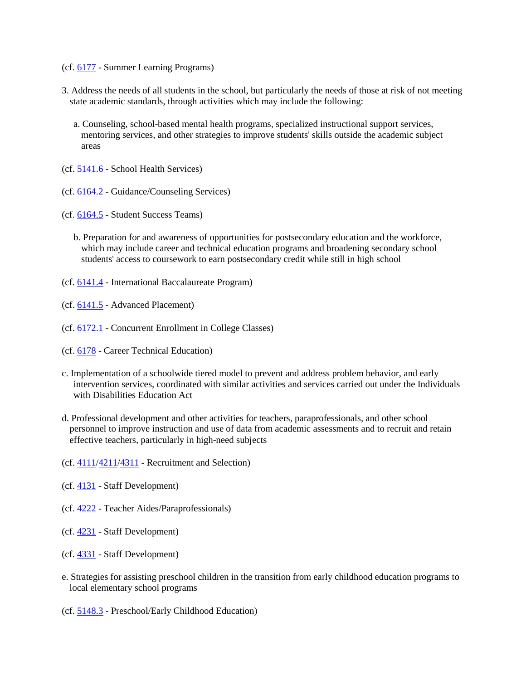- (cf. [6177](http://gamutonline.net/displayPolicy/226673/6) Summer Learning Programs)
- 3. Address the needs of all students in the school, but particularly the needs of those at risk of not meeting state academic standards, through activities which may include the following:
	- a. Counseling, school-based mental health programs, specialized instructional support services, mentoring services, and other strategies to improve students' skills outside the academic subject areas
- (cf. [5141.6](http://gamutonline.net/displayPolicy/335607/6) School Health Services)
- (cf. [6164.2](http://gamutonline.net/displayPolicy/1036978/6) Guidance/Counseling Services)
- (cf. [6164.5](http://gamutonline.net/displayPolicy/324913/6) Student Success Teams)
	- b. Preparation for and awareness of opportunities for postsecondary education and the workforce, which may include career and technical education programs and broadening secondary school students' access to coursework to earn postsecondary credit while still in high school
- (cf. [6141.4](http://gamutonline.net/displayPolicy/1014021/6) International Baccalaureate Program)
- (cf. [6141.5](http://gamutonline.net/displayPolicy/909491/6) Advanced Placement)
- (cf. [6172.1](http://gamutonline.net/displayPolicy/500009/6) Concurrent Enrollment in College Classes)
- (cf. [6178](http://gamutonline.net/displayPolicy/211110/6) Career Technical Education)
- c. Implementation of a schoolwide tiered model to prevent and address problem behavior, and early intervention services, coordinated with similar activities and services carried out under the Individuals with Disabilities Education Act
- d. Professional development and other activities for teachers, paraprofessionals, and other school personnel to improve instruction and use of data from academic assessments and to recruit and retain effective teachers, particularly in high-need subjects
- (cf.  $4111/4211/4311$  $4111/4211/4311$  $4111/4211/4311$  Recruitment and Selection)
- (cf. [4131](http://gamutonline.net/displayPolicy/1002203/6) Staff Development)
- (cf. [4222](http://gamutonline.net/displayPolicy/274280/6) Teacher Aides/Paraprofessionals)
- (cf. [4231](http://gamutonline.net/displayPolicy/1002207/6) Staff Development)
- (cf. [4331](http://gamutonline.net/displayPolicy/171627/6) Staff Development)
- e. Strategies for assisting preschool children in the transition from early childhood education programs to local elementary school programs
- (cf. [5148.3](http://gamutonline.net/displayPolicy/1002214/6) Preschool/Early Childhood Education)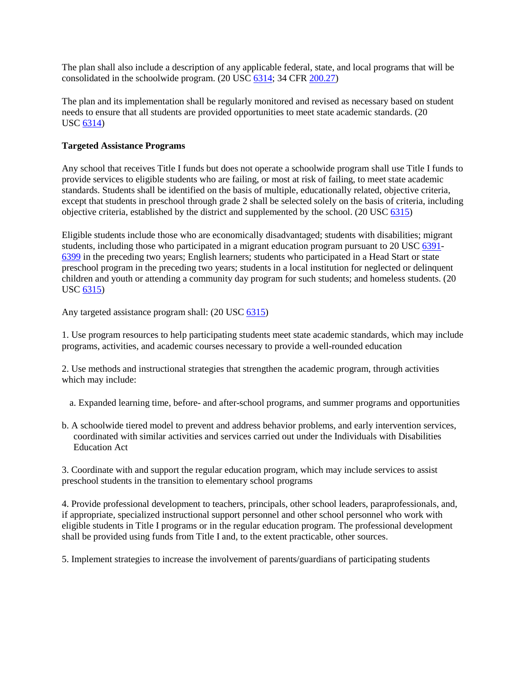The plan shall also include a description of any applicable federal, state, and local programs that will be consolidated in the schoolwide program. (20 USC [6314;](http://gamutonline.net/displayPolicy/302980/6) 34 CFR [200.27\)](http://gamutonline.net/displayPolicy/191196/6)

The plan and its implementation shall be regularly monitored and revised as necessary based on student needs to ensure that all students are provided opportunities to meet state academic standards. (20 USC [6314\)](http://gamutonline.net/displayPolicy/302980/6)

#### **Targeted Assistance Programs**

Any school that receives Title I funds but does not operate a schoolwide program shall use Title I funds to provide services to eligible students who are failing, or most at risk of failing, to meet state academic standards. Students shall be identified on the basis of multiple, educationally related, objective criteria, except that students in preschool through grade 2 shall be selected solely on the basis of criteria, including objective criteria, established by the district and supplemented by the school. (20 USC [6315\)](http://gamutonline.net/displayPolicy/302981/6)

Eligible students include those who are economically disadvantaged; students with disabilities; migrant students, including those who participated in a migrant education program pursuant to 20 USC [6391-](http://gamutonline.net/displayPolicy/303161/6) [6399](http://gamutonline.net/displayPolicy/303004/6) in the preceding two years; English learners; students who participated in a Head Start or state preschool program in the preceding two years; students in a local institution for neglected or delinquent children and youth or attending a community day program for such students; and homeless students. (20 USC [6315\)](http://gamutonline.net/displayPolicy/302981/6)

Any targeted assistance program shall: (20 USC [6315\)](http://gamutonline.net/displayPolicy/302981/6)

1. Use program resources to help participating students meet state academic standards, which may include programs, activities, and academic courses necessary to provide a well-rounded education

2. Use methods and instructional strategies that strengthen the academic program, through activities which may include:

a. Expanded learning time, before- and after-school programs, and summer programs and opportunities

b. A schoolwide tiered model to prevent and address behavior problems, and early intervention services, coordinated with similar activities and services carried out under the Individuals with Disabilities Education Act

3. Coordinate with and support the regular education program, which may include services to assist preschool students in the transition to elementary school programs

4. Provide professional development to teachers, principals, other school leaders, paraprofessionals, and, if appropriate, specialized instructional support personnel and other school personnel who work with eligible students in Title I programs or in the regular education program. The professional development shall be provided using funds from Title I and, to the extent practicable, other sources.

5. Implement strategies to increase the involvement of parents/guardians of participating students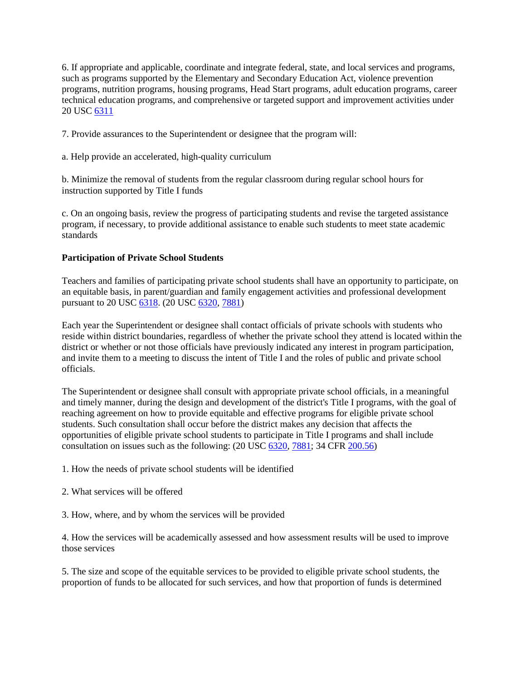6. If appropriate and applicable, coordinate and integrate federal, state, and local services and programs, such as programs supported by the Elementary and Secondary Education Act, violence prevention programs, nutrition programs, housing programs, Head Start programs, adult education programs, career technical education programs, and comprehensive or targeted support and improvement activities under 20 USC [6311](http://gamutonline.net/displayPolicy/303162/6)

7. Provide assurances to the Superintendent or designee that the program will:

a. Help provide an accelerated, high-quality curriculum

b. Minimize the removal of students from the regular classroom during regular school hours for instruction supported by Title I funds

c. On an ongoing basis, review the progress of participating students and revise the targeted assistance program, if necessary, to provide additional assistance to enable such students to meet state academic standards

### **Participation of Private School Students**

Teachers and families of participating private school students shall have an opportunity to participate, on an equitable basis, in parent/guardian and family engagement activities and professional development pursuant to 20 USC [6318.](http://gamutonline.net/displayPolicy/302984/6) (20 USC [6320,](http://gamutonline.net/displayPolicy/302986/6) [7881\)](http://gamutonline.net/displayPolicy/302812/6)

Each year the Superintendent or designee shall contact officials of private schools with students who reside within district boundaries, regardless of whether the private school they attend is located within the district or whether or not those officials have previously indicated any interest in program participation, and invite them to a meeting to discuss the intent of Title I and the roles of public and private school officials.

The Superintendent or designee shall consult with appropriate private school officials, in a meaningful and timely manner, during the design and development of the district's Title I programs, with the goal of reaching agreement on how to provide equitable and effective programs for eligible private school students. Such consultation shall occur before the district makes any decision that affects the opportunities of eligible private school students to participate in Title I programs and shall include consultation on issues such as the following: (20 USC [6320,](http://gamutonline.net/displayPolicy/302986/6) [7881;](http://gamutonline.net/displayPolicy/302812/6) 34 CFR [200.56\)](http://gamutonline.net/displayPolicy/292620/6)

1. How the needs of private school students will be identified

2. What services will be offered

3. How, where, and by whom the services will be provided

4. How the services will be academically assessed and how assessment results will be used to improve those services

5. The size and scope of the equitable services to be provided to eligible private school students, the proportion of funds to be allocated for such services, and how that proportion of funds is determined